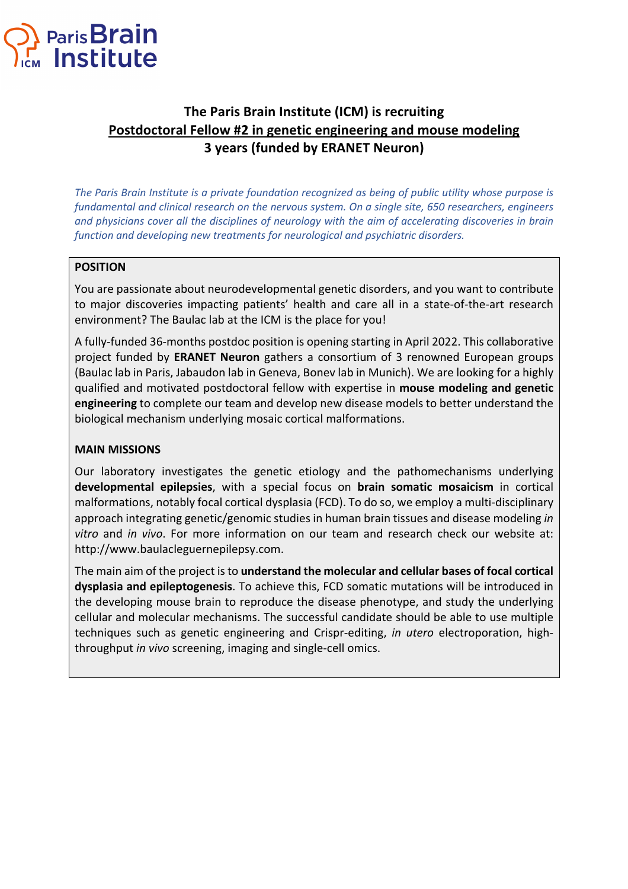

# **The Paris Brain Institute (ICM) is recruiting Postdoctoral Fellow #2 in genetic engineering and mouse modeling 3 years (funded by ERANET Neuron)**

*The Paris Brain Institute is a private foundation recognized as being of public utility whose purpose is fundamental and clinical research on the nervous system. On a single site, 650 researchers, engineers and physicians cover all the disciplines of neurology with the aim of accelerating discoveries in brain function and developing new treatments for neurological and psychiatric disorders.*

## **POSITION**

You are passionate about neurodevelopmental genetic disorders, and you want to contribute to major discoveries impacting patients' health and care all in a state-of-the-art research environment? The Baulac lab at the ICM is the place for you!

A fully-funded 36-months postdoc position is opening starting in April 2022. This collaborative project funded by **ERANET Neuron** gathers a consortium of 3 renowned European groups (Baulac lab in Paris, Jabaudon lab in Geneva, Bonev lab in Munich). We are looking for a highly qualified and motivated postdoctoral fellow with expertise in **mouse modeling and genetic engineering** to complete our team and develop new disease models to better understand the biological mechanism underlying mosaic cortical malformations.

### **MAIN MISSIONS**

Our laboratory investigates the genetic etiology and the pathomechanisms underlying **developmental epilepsies**, with a special focus on **brain somatic mosaicism** in cortical malformations, notably focal cortical dysplasia (FCD). To do so, we employ a multi-disciplinary approach integrating genetic/genomic studies in human brain tissues and disease modeling *in vitro* and *in vivo*. For more information on our team and research check our website at: http://www.baulacleguernepilepsy.com.

The main aim of the project is to **understand the molecular and cellular bases of focal cortical dysplasia and epileptogenesis**. To achieve this, FCD somatic mutations will be introduced in the developing mouse brain to reproduce the disease phenotype, and study the underlying cellular and molecular mechanisms. The successful candidate should be able to use multiple techniques such as genetic engineering and Crispr-editing, *in utero* electroporation, highthroughput *in vivo* screening, imaging and single-cell omics.